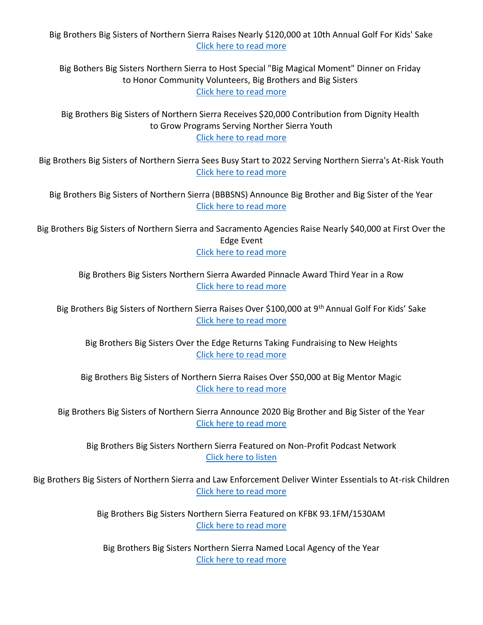Big Brothers Big Sisters of Northern Sierra Raises Nearly \$120,000 at 10th Annual Golf For Kids' Sake [Click here to read more](https://www.bbbsns.org/wp-content/uploads/sites/6/2022/06/Golf-for-Kids-Sake-2022.pdf)

Big Bothers Big Sisters Northern Sierra to Host Special "Big Magical Moment" Dinner on Friday to Honor Community Volunteers, Big Brothers and Big Sisters [Click here to read more](https://www.bbbsns.org/wp-content/uploads/sites/6/2022/04/Big-Magical-Moment.pdf)

Big Brothers Big Sisters of Northern Sierra Receives \$20,000 Contribution from Dignity Health to Grow Programs Serving Norther Sierra Youth [Click here to read more](https://www.bbbsns.org/wp-content/uploads/sites/6/2022/04/PRESS-RELEASE-Dignity-Contribution-to-BBBSNS.pdf)

Big Brothers Big Sisters of Northern Sierra Sees Busy Start to 2022 Serving Northern Sierra's At-Risk Youth [Click here to read more](https://www.bbbsns.org/wp-content/uploads/sites/6/2022/03/Latest-announcements-press-release_03.07.22-1.pdf)

Big Brothers Big Sisters of Northern Sierra (BBBSNS) Announce Big Brother and Big Sister of the Year [Click here to read more](https://www.bbbsns.org/wp-content/uploads/sites/6/2022/01/2021-BIGs-of-the-Year.pdf)

Big Brothers Big Sisters of Northern Sierra and Sacramento Agencies Raise Nearly \$40,000 at First Over the Edge Event [Click here to read more](https://bit.ly/3Cfi6oh)

> Big Brothers Big Sisters Northern Sierra Awarded Pinnacle Award Third Year in a Row [Click here to read more](https://www.bbbsns.org/wp-content/uploads/sites/6/2021/06/Pinnacle-Award-Press-Release-2020.pdf)

Big Brothers Big Sisters of Northern Sierra Raises Over \$100,000 at 9th Annual Golf For Kids' Sake [Click here to read more](https://www.bbbsns.org/wp-content/uploads/sites/6/2021/06/Golf-tourny-2021-post-event-press-release.pdf)

Big Brothers Big Sisters Over the Edge Returns Taking Fundraising to New Heights [Click here to read more](https://www.bbbsns.org/wp-content/uploads/sites/6/2021/04/OTE-announcement.pdf)

Big Brothers Big Sisters of Northern Sierra Raises Over \$50,000 at Big Mentor Magic [Click here to read more](https://www.bbbsns.org/wp-content/uploads/sites/6/2021/03/Big-Mentor-Magic-press-release.pdf)

Big Brothers Big Sisters of Northern Sierra Announce 2020 Big Brother and Big Sister of the Year [Click here to read more](https://www.bbbsns.org/wp-content/uploads/sites/6/2021/03/BIGs-of-the-Year-Press-Release-2020-1.pdf)

Big Brothers Big Sisters Northern Sierra Featured on Non-Profit Podcast Network [Click here to listen](https://soundcloud.com/nonprofitpodcastnetwork/non-profit-podcast-network-big-brothers-big-sisters-northern-sierra?fbclid=IwAR1udrKl5AJtoC_cYIVajQ0VZE5GBDoiJdQE-E30F2Mewneja6VIzPoi_LM)

Big Brothers Big Sisters of Northern Sierra and Law Enforcement Deliver Winter Essentials to At-risk Children [Click here to read more](https://www.bbbsns.org/wp-content/uploads/sites/6/2020/12/SnowBall-Press-Release-2020.pdf)

> Big Brothers Big Sisters Northern Sierra Featured on KFBK 93.1FM/1530AM [Click here to read more](https://kfbk.iheart.com/featured/the-afternoon-news-with-kitty-o-neal/content/2020-07-21-big-brothers-big-sisters-northern-sierra-named-local-agency-of-the-year/?fbclid=IwAR2SLKrGYoGpxm9O35evEEUvCq-HN5swqBc-hs4Yibwv8kcppn-8uxH8SVI)

Big Brothers Big Sisters Northern Sierra Named Local Agency of the Year [Click here to read more](https://www.bbbsns.org/wp-content/uploads/sites/6/2020/07/BBBSNS-2019-Agency-of-the-Year.pdf)